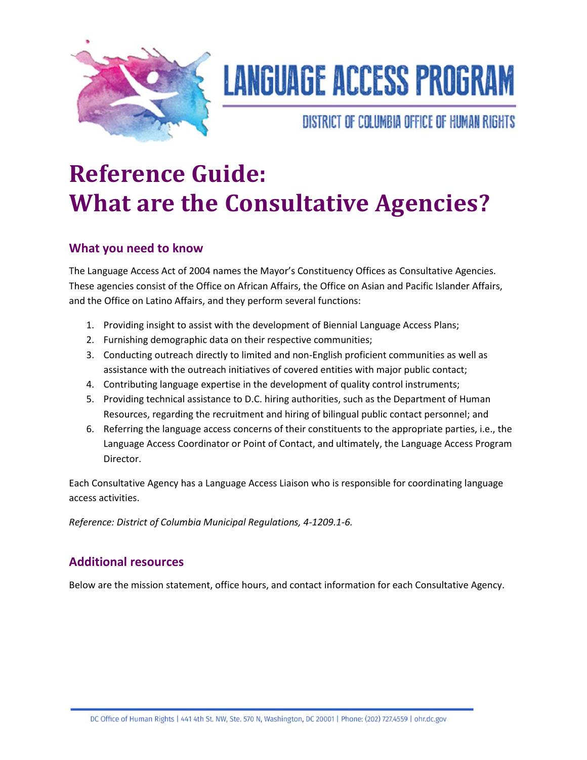

# **LANGUAGE ACCESS PROGRAM**

DISTRICT OF COLUMBIA OFFICE OF HUMAN RIGHTS

# **Reference Guide: What are the Consultative Agencies?**

# **What you need to know**

The Language Access Act of 2004 names the Mayor's Constituency Offices as Consultative Agencies. These agencies consist of the Office on African Affairs, the Office on Asian and Pacific Islander Affairs, and the Office on Latino Affairs, and they perform several functions:

- 1. Providing insight to assist with the development of Biennial Language Access Plans;
- 2. Furnishing demographic data on their respective communities;
- 3. Conducting outreach directly to limited and non-English proficient communities as well as assistance with the outreach initiatives of covered entities with major public contact;
- 4. Contributing language expertise in the development of quality control instruments;
- 5. Providing technical assistance to D.C. hiring authorities, such as the Department of Human Resources, regarding the recruitment and hiring of bilingual public contact personnel; and
- 6. Referring the language access concerns of their constituents to the appropriate parties, i.e., the Language Access Coordinator or Point of Contact, and ultimately, the Language Access Program Director.

Each Consultative Agency has a Language Access Liaison who is responsible for coordinating language access activities.

*Reference: District of Columbia Municipal Regulations, 4-1209.1-6.*

# **Additional resources**

Below are the mission statement, office hours, and contact information for each Consultative Agency.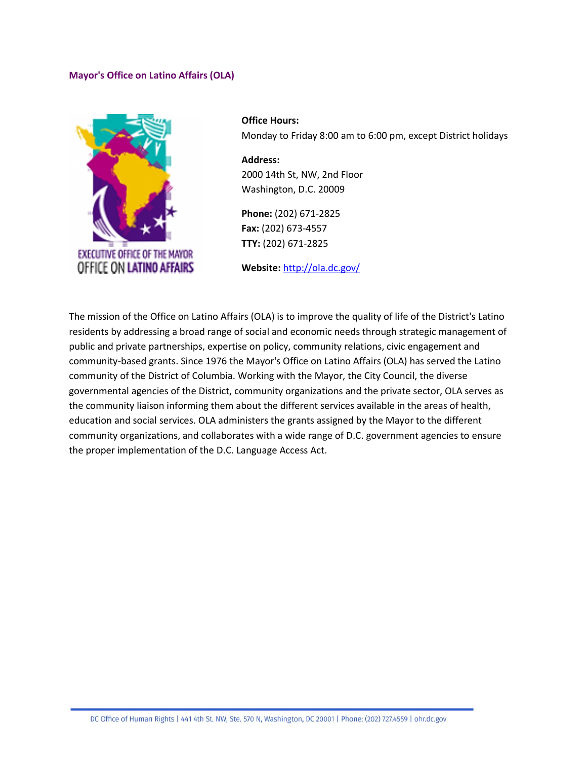### **Mayor's Office on Latino Affairs (OLA)**



**Office Hours:** Monday to Friday 8:00 am to 6:00 pm, except District holidays

**Address:** 2000 14th St, NW, 2nd Floor Washington, D.C. 20009

**Phone:** (202) 671-2825 **Fax:** (202) 673-4557 **TTY:** (202) 671-2825

**Website:** <http://ola.dc.gov/>

The mission of the Office on Latino Affairs (OLA) is to improve the quality of life of the District's Latino residents by addressing a broad range of social and economic needs through strategic management of public and private partnerships, expertise on policy, community relations, civic engagement and community-based grants. Since 1976 the Mayor's Office on Latino Affairs (OLA) has served the Latino community of the District of Columbia. Working with the Mayor, the City Council, the diverse governmental agencies of the District, community organizations and the private sector, OLA serves as the community liaison informing them about the different services available in the areas of health, education and social services. OLA administers the grants assigned by the Mayor to the different community organizations, and collaborates with a wide range of D.C. government agencies to ensure the proper implementation of the D.C. Language Access Act.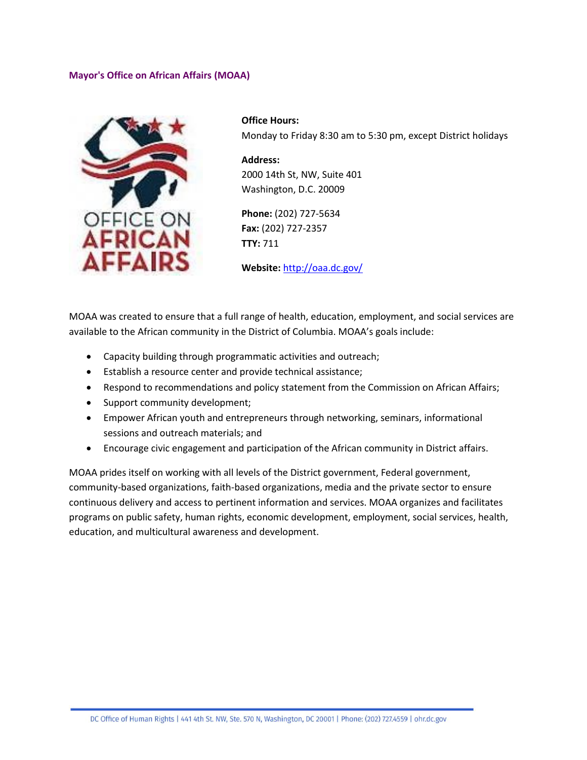### **Mayor's Office on African Affairs (MOAA)**



**Office Hours:** Monday to Friday 8:30 am to 5:30 pm, except District holidays

**Address:** 2000 14th St, NW, Suite 401 Washington, D.C. 20009

**Phone:** (202) 727-5634 **Fax:** (202) 727-2357 **TTY:** 711

**Website:** <http://oaa.dc.gov/>

MOAA was created to ensure that a full range of health, education, employment, and social services are available to the African community in the District of Columbia. MOAA's goals include:

- Capacity building through programmatic activities and outreach;
- Establish a resource center and provide technical assistance;
- Respond to recommendations and policy statement from the Commission on African Affairs;
- Support community development;
- Empower African youth and entrepreneurs through networking, seminars, informational sessions and outreach materials; and
- Encourage civic engagement and participation of the African community in District affairs.

MOAA prides itself on working with all levels of the District government, Federal government, community-based organizations, faith-based organizations, media and the private sector to ensure continuous delivery and access to pertinent information and services. MOAA organizes and facilitates programs on public safety, human rights, economic development, employment, social services, health, education, and multicultural awareness and development.